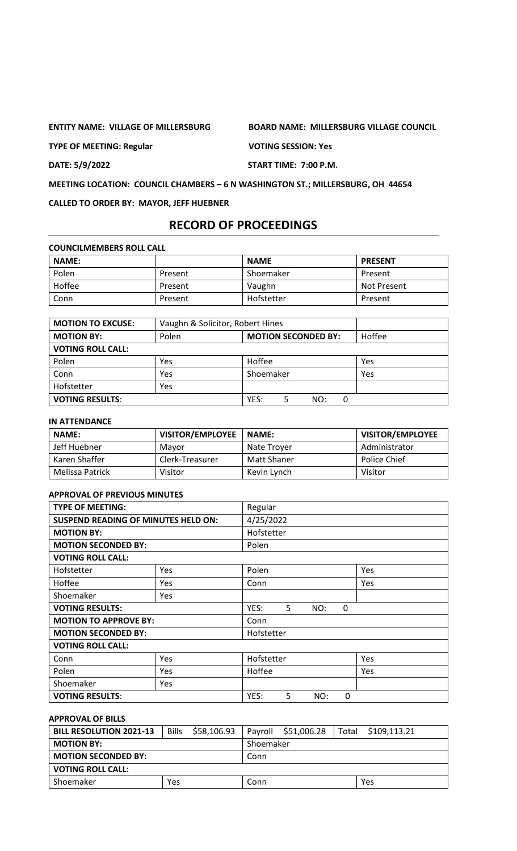**TYPE OF MEETING: Regular VOTING SESSION: Yes**

**ENTITY NAME: VILLAGE OF MILLERSBURG BOARD NAME: MILLERSBURG VILLAGE COUNCIL**

**DATE: 5/9/2022 START TIME: 7:00 P.M.**

**MEETING LOCATION: COUNCIL CHAMBERS – 6 N WASHINGTON ST.; MILLERSBURG, OH 44654**

**CALLED TO ORDER BY: MAYOR, JEFF HUEBNER**

# **RECORD OF PROCEEDINGS**

**COUNCILMEMBERS ROLL CALL**

| <b>NAME:</b> |         | <b>NAME</b> | <b>PRESENT</b> |
|--------------|---------|-------------|----------------|
| Polen        | Present | Shoemaker   | Present        |
| Hoffee       | Present | Vaughn      | Not Present    |
| Conn         | Present | Hofstetter  | Present        |

| <b>MOTION TO EXCUSE:</b> | Vaughn & Solicitor, Robert Hines |                            |        |
|--------------------------|----------------------------------|----------------------------|--------|
| <b>MOTION BY:</b>        | Polen                            | <b>MOTION SECONDED BY:</b> | Hoffee |
| <b>VOTING ROLL CALL:</b> |                                  |                            |        |
| Polen                    | Yes                              | Hoffee                     | Yes    |
| Conn                     | Yes                              | Shoemaker                  | Yes    |
| Hofstetter               | Yes                              |                            |        |
| <b>VOTING RESULTS:</b>   |                                  | YES:<br>NO:<br>0           |        |

#### **IN ATTENDANCE**

| <b>NAME:</b>    | <b>VISITOR/EMPLOYEE</b> | <b>NAME:</b> | <b>VISITOR/EMPLOYEE</b> |
|-----------------|-------------------------|--------------|-------------------------|
| Jeff Huebner    | Mavor                   | Nate Trover  | Administrator           |
| Karen Shaffer   | Clerk-Treasurer         | Matt Shaner  | Police Chief            |
| Melissa Patrick | Visitor                 | Kevin Lynch  | Visitor                 |

### **APPROVAL OF PREVIOUS MINUTES**

| <b>TYPE OF MEETING:</b>                    |            | Regular    |   |     |   |     |
|--------------------------------------------|------------|------------|---|-----|---|-----|
| <b>SUSPEND READING OF MINUTES HELD ON:</b> |            | 4/25/2022  |   |     |   |     |
| <b>MOTION BY:</b>                          |            | Hofstetter |   |     |   |     |
| <b>MOTION SECONDED BY:</b>                 |            | Polen      |   |     |   |     |
| <b>VOTING ROLL CALL:</b>                   |            |            |   |     |   |     |
| Hofstetter                                 | <b>Yes</b> | Polen      |   |     |   | Yes |
| Hoffee                                     | Yes        | Conn       |   |     |   | Yes |
| Shoemaker                                  | Yes        |            |   |     |   |     |
| <b>VOTING RESULTS:</b>                     |            | YES:       | 5 | NO: | 0 |     |
| <b>MOTION TO APPROVE BY:</b>               |            | Conn       |   |     |   |     |
| <b>MOTION SECONDED BY:</b>                 |            | Hofstetter |   |     |   |     |
| <b>VOTING ROLL CALL:</b>                   |            |            |   |     |   |     |
| Conn                                       | <b>Yes</b> | Hofstetter |   |     |   | Yes |
| Polen                                      | Yes        | Hoffee     |   |     |   | Yes |
| Shoemaker                                  | Yes        |            |   |     |   |     |
| <b>VOTING RESULTS:</b>                     |            | YES:       | 5 | NO: | 0 |     |

# **APPROVAL OF BILLS**

| <b>BILL RESOLUTION 2021-13</b> | <b>Bills</b> | \$58,106.93 |           | Payroll \$51,006.28 | Total | \$109,113.21 |
|--------------------------------|--------------|-------------|-----------|---------------------|-------|--------------|
| <b>MOTION BY:</b>              |              |             | Shoemaker |                     |       |              |
| <b>MOTION SECONDED BY:</b>     |              |             | Conn      |                     |       |              |
| <b>VOTING ROLL CALL:</b>       |              |             |           |                     |       |              |
| Shoemaker                      | <b>Yes</b>   |             | Conn      |                     |       | Yes          |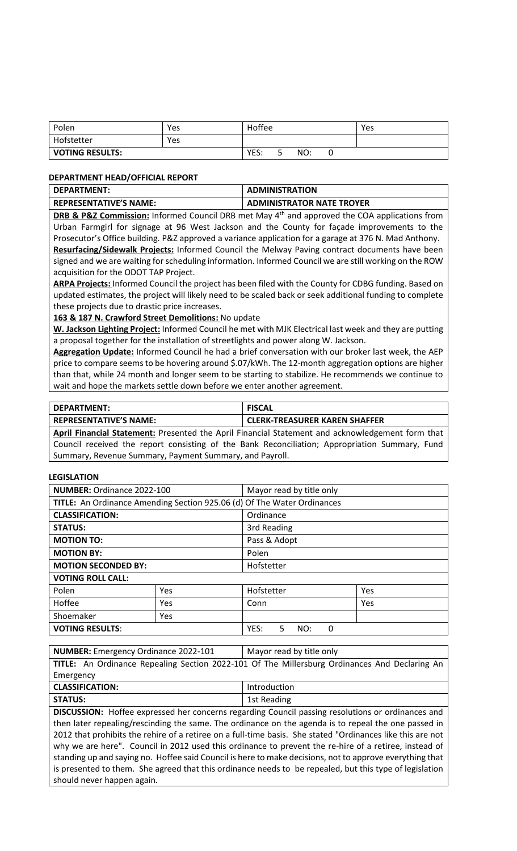| Polen                  | Yes | Hoffee |     |   | Yes |
|------------------------|-----|--------|-----|---|-----|
| Hofstetter             | Yes |        |     |   |     |
| <b>VOTING RESULTS:</b> |     | YES:   | NO: | u |     |

#### **DEPARTMENT HEAD/OFFICIAL REPORT**

| l DEPARTMENT:          | <b>ADMINISTRATION</b>            |
|------------------------|----------------------------------|
| REPRESENTATIVE'S NAME: | <b>ADMINISTRATOR NATE TROYER</b> |
|                        |                                  |

**DRB & P&Z Commission:** Informed Council DRB met May 4<sup>th</sup> and approved the COA applications from Urban Farmgirl for signage at 96 West Jackson and the County for façade improvements to the Prosecutor's Office building. P&Z approved a variance application for a garage at 376 N. Mad Anthony. **Resurfacing/Sidewalk Projects:** Informed Council the Melway Paving contract documents have been signed and we are waiting for scheduling information. Informed Council we are still working on the ROW acquisition for the ODOT TAP Project.

**ARPA Projects:** Informed Council the project has been filed with the County for CDBG funding. Based on updated estimates, the project will likely need to be scaled back or seek additional funding to complete these projects due to drastic price increases.

**163 & 187 N. Crawford Street Demolitions:** No update

**W. Jackson Lighting Project:** Informed Council he met with MJK Electrical last week and they are putting a proposal together for the installation of streetlights and power along W. Jackson.

**Aggregation Update:** Informed Council he had a brief conversation with our broker last week, the AEP price to compare seems to be hovering around \$.07/kWh. The 12-month aggregation options are higher than that, while 24 month and longer seem to be starting to stabilize. He recommends we continue to wait and hope the markets settle down before we enter another agreement.

| DEPARTMENT:                   | <b>FISCAL</b>                        |
|-------------------------------|--------------------------------------|
| <b>REPRESENTATIVE'S NAME:</b> | <b>CLERK-TREASURER KAREN SHAFFER</b> |

**April Financial Statement:** Presented the April Financial Statement and acknowledgement form that Council received the report consisting of the Bank Reconciliation; Appropriation Summary, Fund Summary, Revenue Summary, Payment Summary, and Payroll.

### **LEGISLATION**

| <b>NUMBER: Ordinance 2022-100</b> |     | Mayor read by title only                                                |     |  |
|-----------------------------------|-----|-------------------------------------------------------------------------|-----|--|
|                                   |     | TITLE: An Ordinance Amending Section 925.06 (d) Of The Water Ordinances |     |  |
| <b>CLASSIFICATION:</b>            |     | Ordinance                                                               |     |  |
| <b>STATUS:</b>                    |     | 3rd Reading                                                             |     |  |
| <b>MOTION TO:</b>                 |     | Pass & Adopt                                                            |     |  |
| <b>MOTION BY:</b>                 |     | Polen                                                                   |     |  |
| <b>MOTION SECONDED BY:</b>        |     | Hofstetter                                                              |     |  |
| <b>VOTING ROLL CALL:</b>          |     |                                                                         |     |  |
| Polen                             | Yes | Hofstetter                                                              | Yes |  |
| Hoffee<br>Yes                     |     | Conn                                                                    | Yes |  |
| Shoemaker<br>Yes                  |     |                                                                         |     |  |
| <b>VOTING RESULTS:</b>            |     | YES:<br>5.<br>NO:<br>0                                                  |     |  |

**NUMBER:** Emergency Ordinance 2022-101 | Mayor read by title only

|                        | TITLE: An Ordinance Repealing Section 2022-101 Of The Millersburg Ordinances And Declaring An |
|------------------------|-----------------------------------------------------------------------------------------------|
| Emergency              |                                                                                               |
| <b>CLASSIFICATION:</b> | Introduction                                                                                  |
| <b>STATUS:</b>         | 1st Reading                                                                                   |

**DISCUSSION:** Hoffee expressed her concerns regarding Council passing resolutions or ordinances and then later repealing/rescinding the same. The ordinance on the agenda is to repeal the one passed in 2012 that prohibits the rehire of a retiree on a full-time basis. She stated "Ordinances like this are not why we are here". Council in 2012 used this ordinance to prevent the re-hire of a retiree, instead of standing up and saying no. Hoffee said Council is here to make decisions, not to approve everything that is presented to them. She agreed that this ordinance needs to be repealed, but this type of legislation should never happen again.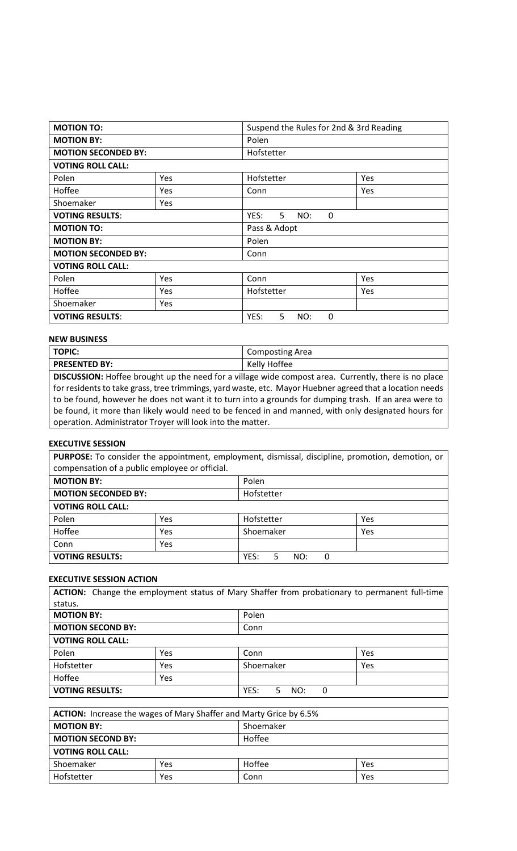| <b>MOTION TO:</b>          |            | Suspend the Rules for 2nd & 3rd Reading |     |  |  |
|----------------------------|------------|-----------------------------------------|-----|--|--|
| <b>MOTION BY:</b>          |            | Polen                                   |     |  |  |
| <b>MOTION SECONDED BY:</b> |            | Hofstetter                              |     |  |  |
| <b>VOTING ROLL CALL:</b>   |            |                                         |     |  |  |
| Polen                      | Yes        | Hofstetter                              | Yes |  |  |
| Hoffee                     | <b>Yes</b> | Conn                                    | Yes |  |  |
| Shoemaker                  | <b>Yes</b> |                                         |     |  |  |
| <b>VOTING RESULTS:</b>     |            | 5<br>YES:<br>NO:<br>$\mathbf{0}$        |     |  |  |
| <b>MOTION TO:</b>          |            | Pass & Adopt                            |     |  |  |
| <b>MOTION BY:</b>          |            | Polen                                   |     |  |  |
| <b>MOTION SECONDED BY:</b> |            | Conn                                    |     |  |  |
| <b>VOTING ROLL CALL:</b>   |            |                                         |     |  |  |
| Polen                      | Yes        | Conn                                    | Yes |  |  |
| Hoffee                     | Yes        | Hofstetter                              | Yes |  |  |
| Shoemaker                  | <b>Yes</b> |                                         |     |  |  |
| <b>VOTING RESULTS:</b>     |            |                                         |     |  |  |

### **NEW BUSINESS**

| <b>TOPIC:</b>                                                                                            | <b>Composting Area</b> |  |  |  |
|----------------------------------------------------------------------------------------------------------|------------------------|--|--|--|
| <b>PRESENTED BY:</b>                                                                                     | Kelly Hoffee           |  |  |  |
| DISCUSSION: Hoffee brought up the need for a village wide compost area. Currently, there is no place     |                        |  |  |  |
| for residents to take grass, tree trimmings, yard waste, etc. Mayor Huebner agreed that a location needs |                        |  |  |  |
| to be found, however he does not want it to turn into a grounds for dumping trash. If an area were to    |                        |  |  |  |
| be found, it more than likely would need to be fenced in and manned, with only designated hours for      |                        |  |  |  |
| operation. Administrator Troyer will look into the matter.                                               |                        |  |  |  |

### **EXECUTIVE SESSION**

**PURPOSE:** To consider the appointment, employment, dismissal, discipline, promotion, demotion, or compensation of a public employee or official.

| <b>MOTION BY:</b>          |     | Polen                 |     |
|----------------------------|-----|-----------------------|-----|
| <b>MOTION SECONDED BY:</b> |     | Hofstetter            |     |
| <b>VOTING ROLL CALL:</b>   |     |                       |     |
| Polen                      | Yes | Hofstetter            | Yes |
| Hoffee                     | Yes | Shoemaker             | Yes |
| Conn                       | Yes |                       |     |
| <b>VOTING RESULTS:</b>     |     | YES:<br>5<br>NO:<br>0 |     |

#### **EXECUTIVE SESSION ACTION**

| <b>ACTION:</b> Change the employment status of Mary Shaffer from probationary to permanent full-time |     |                        |     |  |
|------------------------------------------------------------------------------------------------------|-----|------------------------|-----|--|
| status.                                                                                              |     |                        |     |  |
| <b>MOTION BY:</b>                                                                                    |     | Polen                  |     |  |
| <b>MOTION SECOND BY:</b>                                                                             |     | Conn                   |     |  |
| <b>VOTING ROLL CALL:</b>                                                                             |     |                        |     |  |
| Polen                                                                                                | Yes | Conn                   | Yes |  |
| Hofstetter                                                                                           | Yes | Shoemaker              | Yes |  |
| Hoffee                                                                                               | Yes |                        |     |  |
| <b>VOTING RESULTS:</b>                                                                               |     | YES:<br>5.<br>NO:<br>0 |     |  |

| <b>ACTION:</b> Increase the wages of Mary Shaffer and Marty Grice by 6.5% |     |               |     |  |
|---------------------------------------------------------------------------|-----|---------------|-----|--|
| <b>MOTION BY:</b><br>Shoemaker                                            |     |               |     |  |
| Hoffee<br><b>MOTION SECOND BY:</b>                                        |     |               |     |  |
| <b>VOTING ROLL CALL:</b>                                                  |     |               |     |  |
| Shoemaker                                                                 | Yes | Hoffee<br>Yes |     |  |
| Hofstetter                                                                | Yes | Conn          | Yes |  |